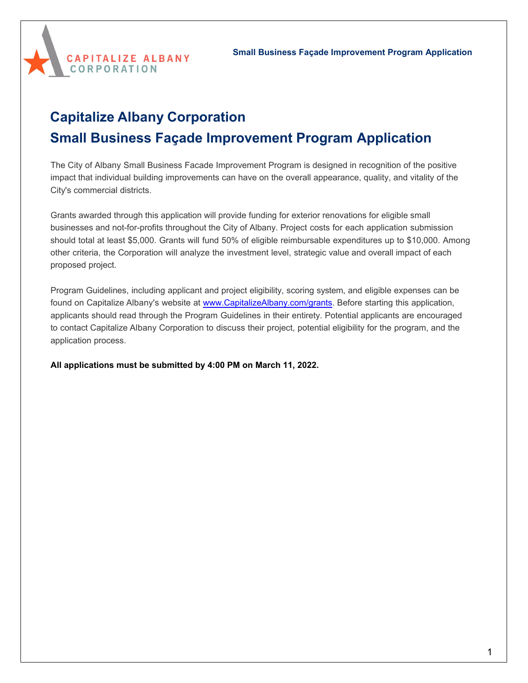

# **Capitalize Albany Corporation Small Business Façade Improvement Program Application**

The City of Albany Small Business Facade Improvement Program is designed in recognition of the positive impact that individual building improvements can have on the overall appearance, quality, and vitality of the City's commercial districts.

Grants awarded through this application will provide funding for exterior renovations for eligible small businesses and not-for-profits throughout the City of Albany. Project costs for each application submission should total at least \$5,000. Grants will fund 50% of eligible reimbursable expenditures up to \$10,000. Among other criteria, the Corporation will analyze the investment level, strategic value and overall impact of each proposed project.

Program Guidelines, including applicant and project eligibility, scoring system, and eligible expenses can be found on Capitalize Albany's website at [www.CapitalizeAlbany.com/grants](http://www.capitalizealbany.com/grants). Before starting this application, applicants should read through the Program Guidelines in their entirety. Potential applicants are encouraged to contact Capitalize Albany Corporation to discuss their project, potential eligibility for the program, and the application process.

**All applications must be submitted by 4:00 PM on March 11, 2022.**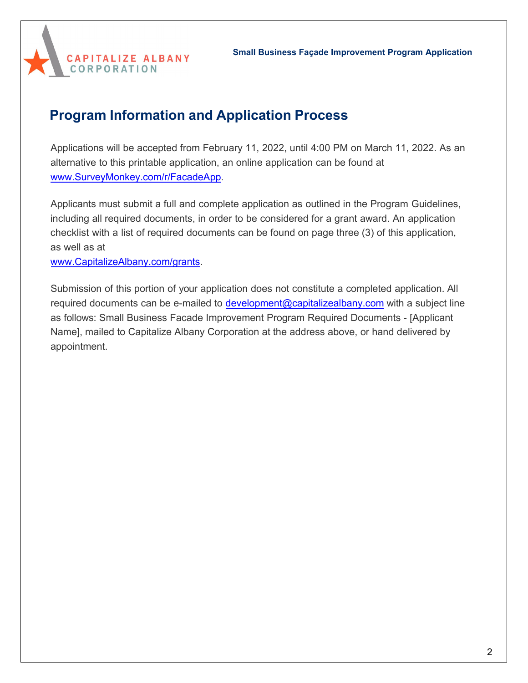

# **Program Information and Application Process**

Applications will be accepted from February 11, 2022, until 4:00 PM on March 11, 2022. As an alternative to this printable application, an online application can be found at [www.SurveyMonkey.com/r/](http://www.surveymonkey.com/r/NeighborhoodRetail)FacadeApp.

Applicants must submit a full and complete application as outlined in the Program Guidelines, including all required documents, in order to be considered for a grant award. An application checklist with a list of required documents can be found on page three (3) of this application, as well as at

[www.CapitalizeAlbany.com/grants.](http://www.capitalizealbany.com/grants)

Submission of this portion of your application does not constitute a completed application. All required documents can be e-mailed to [development@capitalizealbany.com](mailto:development@capitalizealbany.com) with a subject line as follows: Small Business Facade Improvement Program Required Documents - [Applicant Name], mailed to Capitalize Albany Corporation at the address above, or hand delivered by appointment.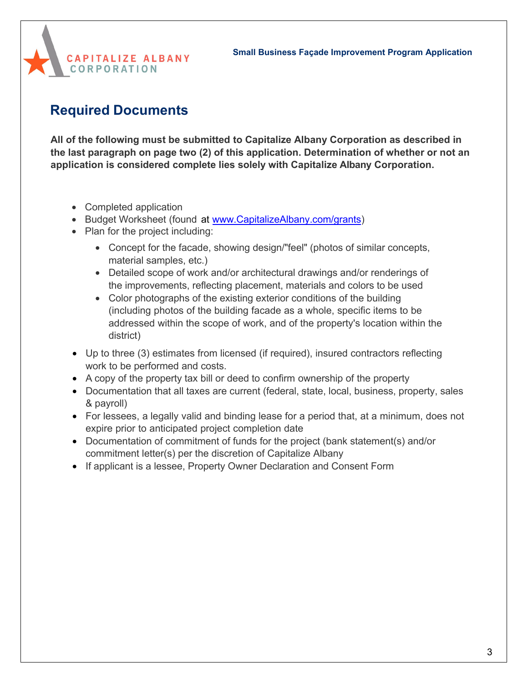

# **Required Documents**

**All of the following must be submitted to Capitalize Albany Corporation as described in the last paragraph on page two (2) of this application. Determination of whether or not an application is considered complete lies solely with Capitalize Albany Corporation.**

- [Comple](http://www.capitalizealbany.come/grants%20and%20page%2022%20of%20this%20document)ted application
- Budget Worksheet (found at www.CapitalizeAlbany.com/grants)
- Plan for the project including:
	- Concept for the facade, showing design/"feel" (photos of similar concepts, material samples, etc.)
	- Detailed scope of work and/or architectural drawings and/or renderings of the improvements, reflecting placement, materials and colors to be used
	- Color photographs of the existing exterior conditions of the building (including photos of the building facade as a whole, specific items to be addressed within the scope of work, and of the property's location within the district)
- Up to three (3) estimates from licensed (if required), insured contractors reflecting work to be performed and costs.
- A copy of the property tax bill or deed to confirm ownership of the property
- Documentation that all taxes are current (federal, state, local, business, property, sales & payroll)
- For lessees, a legally valid and binding lease for a period that, at a minimum, does not expire prior to anticipated project completion date
- Documentation of commitment of funds for the project (bank statement(s) and/or commitment letter(s) per the discretion of Capitalize Albany
- If applicant is a lessee, Property Owner Declaration and Consent Form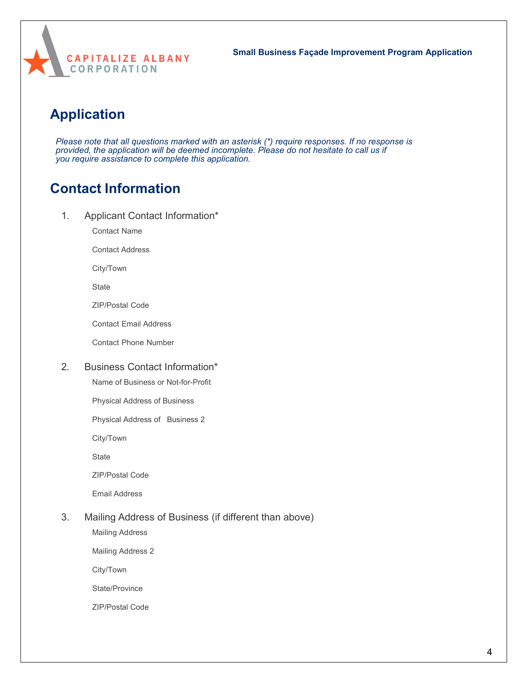

## **Application**

*Please note that all questions marked with an asterisk (\*) require responses. If no response is provided, the application will be deemed incomplete. Please do not hesitate to call us if you require assistance to complete this application.*

## **Contact Information**

1. Applicant Contact Information\*

Contact Name

Contact Address

City/Town

**State** 

ZIP/Postal Code

Contact Email Address

Contact Phone Number

### 2. Business Contact Information\*

Name of Business or Not-for-Profit

Physical Address of Business

Physical Address of Business 2

City/Town

**State** 

ZIP/Postal Code

Email Address

### 3. Mailing Address of Business (if different than above)

Mailing Address

Mailing Address 2

City/Town

State/Province

ZIP/Postal Code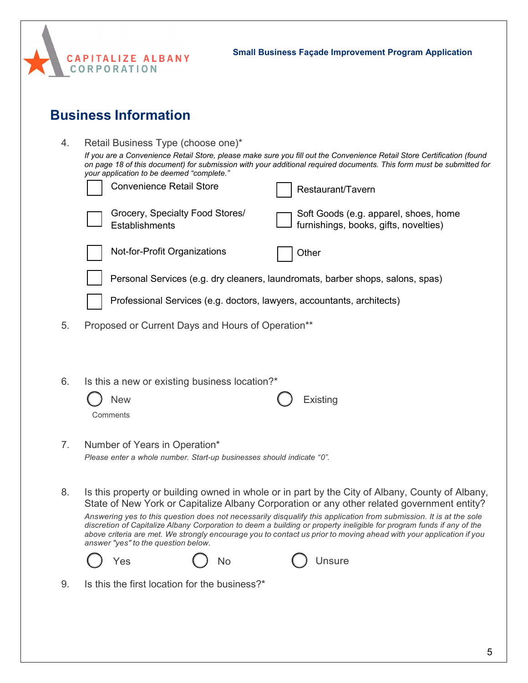

# **Business Information**

| 4. | Retail Business Type (choose one)*                                                                                                                                                                                                                                                          |                                                                                |  |
|----|---------------------------------------------------------------------------------------------------------------------------------------------------------------------------------------------------------------------------------------------------------------------------------------------|--------------------------------------------------------------------------------|--|
|    | If you are a Convenience Retail Store, please make sure you fill out the Convenience Retail Store Certification (found<br>on page 18 of this document) for submission with your additional required documents. This form must be submitted for<br>your application to be deemed "complete." |                                                                                |  |
|    | <b>Convenience Retail Store</b>                                                                                                                                                                                                                                                             | Restaurant/Tavern                                                              |  |
|    | Grocery, Specialty Food Stores/<br>Establishments                                                                                                                                                                                                                                           | Soft Goods (e.g. apparel, shoes, home<br>furnishings, books, gifts, novelties) |  |
|    | Not-for-Profit Organizations<br>Other                                                                                                                                                                                                                                                       |                                                                                |  |
|    | Personal Services (e.g. dry cleaners, laundromats, barber shops, salons, spas)                                                                                                                                                                                                              |                                                                                |  |
|    | Professional Services (e.g. doctors, lawyers, accountants, architects)                                                                                                                                                                                                                      |                                                                                |  |
| 5. | Proposed or Current Days and Hours of Operation**                                                                                                                                                                                                                                           |                                                                                |  |
|    |                                                                                                                                                                                                                                                                                             |                                                                                |  |
| 6. | Is this a new or existing business location?*                                                                                                                                                                                                                                               |                                                                                |  |
|    | <b>New</b><br>Existing                                                                                                                                                                                                                                                                      |                                                                                |  |
|    | Comments                                                                                                                                                                                                                                                                                    |                                                                                |  |
| 7. | Number of Years in Operation*                                                                                                                                                                                                                                                               |                                                                                |  |
|    | Please enter a whole number. Start-up businesses should indicate "0".                                                                                                                                                                                                                       |                                                                                |  |
| 8. | Is this property or building owned in whole or in part by the City of Albany, County of Albany,                                                                                                                                                                                             |                                                                                |  |
|    | State of New York or Capitalize Albany Corporation or any other related government entity?<br>Answering yes to this question does not necessarily disqualify this application from submission. It is at the sole                                                                            |                                                                                |  |
|    | discretion of Capitalize Albany Corporation to deem a building or property ineligible for program funds if any of the<br>above criteria are met. We strongly encourage you to contact us prior to moving ahead with your application if you<br>answer "yes" to the question below.          |                                                                                |  |
|    | Yes<br>Unsure<br>No                                                                                                                                                                                                                                                                         |                                                                                |  |
| 9. | Is this the first location for the business?*                                                                                                                                                                                                                                               |                                                                                |  |
|    |                                                                                                                                                                                                                                                                                             |                                                                                |  |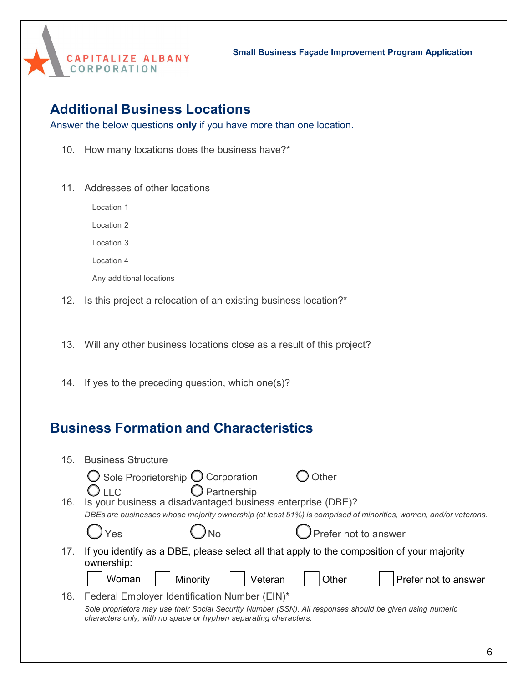

### **Additional Business Locations**

Answer the below questions **only** if you have more than one location.

- 10. How many locations does the business have?\*
- 11. Addresses of other locations

Location 1

Location 2

Location 3

Location 4

Any additional locations

12. Is this project a relocation of an existing business location?\*

13. Will any other business locations close as a result of this project?

14. If yes to the preceding question, which one(s)?

## **Business Formation and Characteristics**

| <b>Business Structure</b>                                                                                                                                                   |                                                                                                                 |
|-----------------------------------------------------------------------------------------------------------------------------------------------------------------------------|-----------------------------------------------------------------------------------------------------------------|
| $\bigcirc$ Sole Proprietorship $\bigcirc$ Corporation                                                                                                                       | Other                                                                                                           |
| Is your business a disadvantaged business enterprise (DBE)?                                                                                                                 |                                                                                                                 |
|                                                                                                                                                                             | DBEs are businesses whose majority ownership (at least 51%) is comprised of minorities, women, and/or veterans. |
| Yes                                                                                                                                                                         | $)$ Prefer not to answer                                                                                        |
| If you identify as a DBE, please select all that apply to the composition of your majority<br>ownership:                                                                    |                                                                                                                 |
| Minority<br>Woman<br>Veteran                                                                                                                                                | Other<br>Prefer not to answer                                                                                   |
| Federal Employer Identification Number (EIN)*                                                                                                                               |                                                                                                                 |
| Sole proprietors may use their Social Security Number (SSN). All responses should be given using numeric<br>characters only, with no space or hyphen separating characters. |                                                                                                                 |
|                                                                                                                                                                             | $\bigcirc$ Partnership<br>$\bigcup \sqcup C$                                                                    |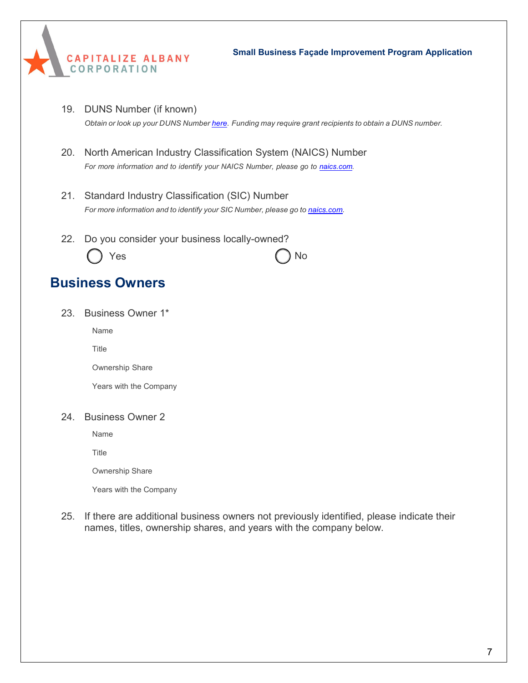

19. DUNS Number (if known)

*Obtain or look up your DUNS Number [here.](https://www.dnb.com/duns-number.html) Funding may require grant recipients to obtain a DUNS number.*

- 20. North American Industry Classification System (NAICS) Number *For more information and to identify your NAICS Number, please go to [naics.com.](https://www.naics.com/search/)*
- 21. Standard Industry Classification (SIC) Number *For more information and to identify your SIC Number, please go to [naics.com.](https://www.naics.com/search/)*
- 22. Do you consider your business locally-owned? Yes ( ) No

# **Business Owners**

23. Business Owner 1\*

Name

Title

Ownership Share

Years with the Company

### 24. Business Owner 2

Name

**Title** 

Ownership Share

Years with the Company

25. If there are additional business owners not previously identified, please indicate their names, titles, ownership shares, and years with the company below.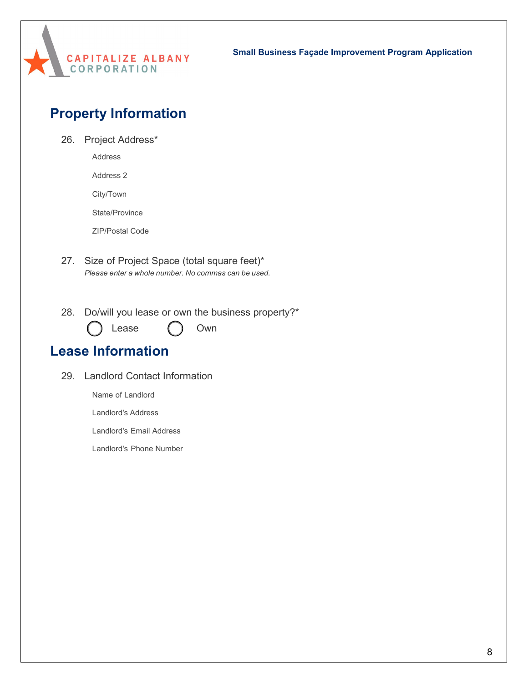

# **Property Information**

26. Project Address\*

Address

Address 2

City/Town

State/Province

ZIP/Postal Code

- 27. Size of Project Space (total square feet)\* *Please enter a whole number. No commas can be used.*
- 28. Do/will you lease or own the business property?\*

Lease ( ) Own

### **Lease Information**

29. Landlord Contact Information

Name of Landlord

Landlord's Address

Landlord's Email Address

Landlord's Phone Number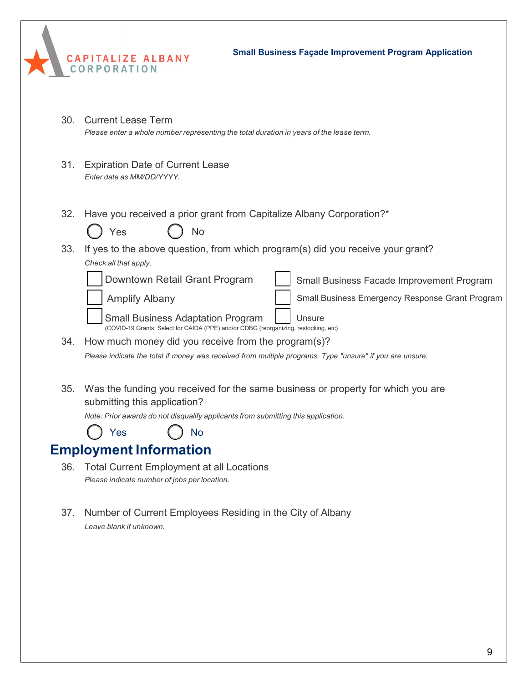|                 | <b>Small Business Façade Improvement Program Application</b><br>CAPITALIZE ALBANY<br>CORPORATION                                                                                                                                                                                                                                                                                                                 |
|-----------------|------------------------------------------------------------------------------------------------------------------------------------------------------------------------------------------------------------------------------------------------------------------------------------------------------------------------------------------------------------------------------------------------------------------|
| 30 <sub>1</sub> | <b>Current Lease Term</b><br>Please enter a whole number representing the total duration in years of the lease term.                                                                                                                                                                                                                                                                                             |
| 31.             | <b>Expiration Date of Current Lease</b><br>Enter date as MM/DD/YYYY.                                                                                                                                                                                                                                                                                                                                             |
| 32.             | Have you received a prior grant from Capitalize Albany Corporation?*<br>Yes<br>No                                                                                                                                                                                                                                                                                                                                |
| 33.             | If yes to the above question, from which program(s) did you receive your grant?<br>Check all that apply.<br>Downtown Retail Grant Program<br>Small Business Facade Improvement Program<br><b>Amplify Albany</b><br>Small Business Emergency Response Grant Program<br><b>Small Business Adaptation Program</b><br>Unsure<br>(COVID-19 Grants; Select for CAIDA (PPE) and/or CDBG (reorganizing, restocking, etc) |
|                 | 34. How much money did you receive from the program(s)?<br>Please indicate the total if money was received from multiple programs. Type "unsure" if you are unsure.                                                                                                                                                                                                                                              |
|                 | 35. Was the funding you received for the same business or property for which you are<br>submitting this application?<br>Note: Prior awards do not disqualify applicants from submitting this application.<br>Yes<br>No                                                                                                                                                                                           |
|                 | <b>Employment Information</b>                                                                                                                                                                                                                                                                                                                                                                                    |

- 36. Total Current Employment at all Locations *Please indicate number of jobs per location.*
- 37. Number of Current Employees Residing in the City of Albany *Leave blank if unknown.*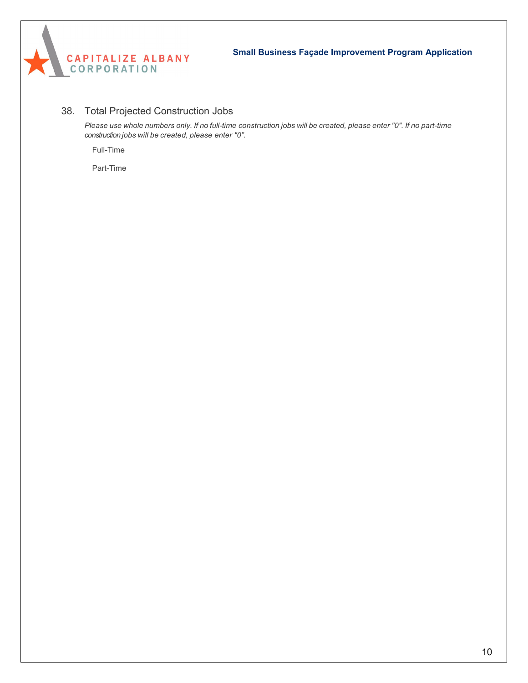

### 38. Total Projected Construction Jobs

Please use whole numbers only. If no full-time construction jobs will be created, please enter "0". If no part-time *construction jobs will be created, please enter "0".*

Full-Time

Part-Time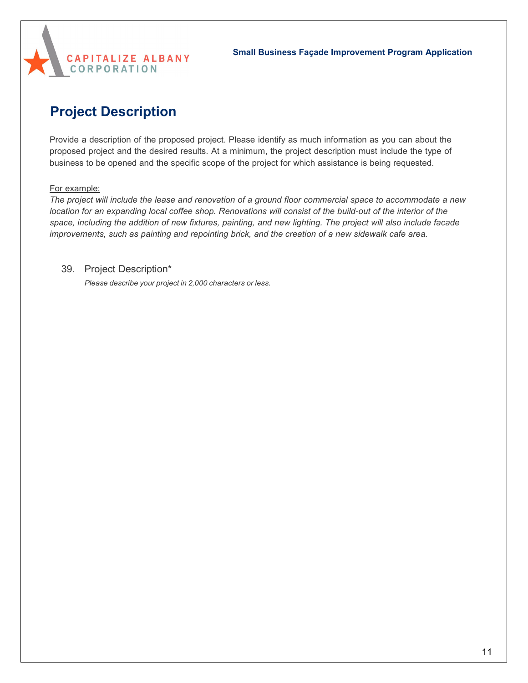

# **Project Description**

Provide a description of the proposed project. Please identify as much information as you can about the proposed project and the desired results. At a minimum, the project description must include the type of business to be opened and the specific scope of the project for which assistance is being requested.

### For example:

*The project will include the lease and renovation of a ground floor commercial space to accommodate a new* location for an expanding local coffee shop. Renovations will consist of the build-out of the interior of the space, including the addition of new fixtures, painting, and new lighting. The project will also include facade *improvements, such as painting and repointing brick, and the creation of a new sidewalk cafe area.*

### 39. Project Description\*

*Please describe your project in 2,000 characters or less.*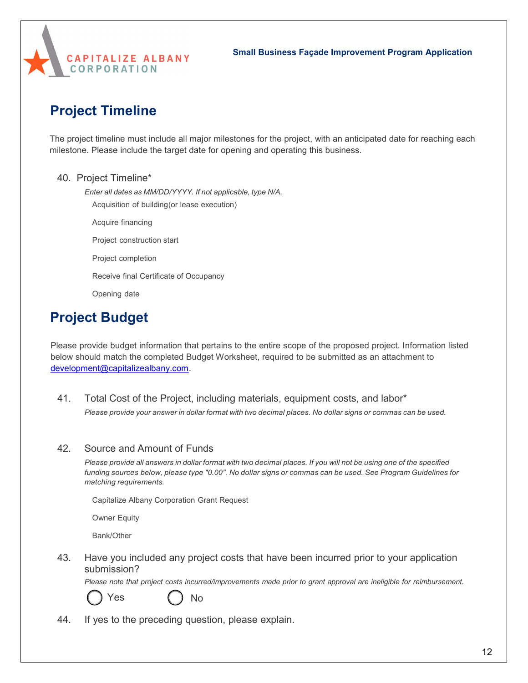

# **Project Timeline**

The project timeline must include all major milestones for the project, with an anticipated date for reaching each milestone. Please include the target date for opening and operating this business.

### 40. Project Timeline\*

*Enter all dates as MM/DD/YYYY. If not applicable, type N/A.*

Acquisition of building (or lease execution)

- Acquire financing
- Project construction start
- Project completion
- Receive final Certificate of Occupancy
- Opening date

## **Project Budget**

Please provide budget information that pertains to the entire scope of the proposed project. Information listed below should match the completed Budget Worksheet, required to be submitted as an attachment to [development@capitalizealbany.com.](mailto:development@capitalizealbany.com)

41. Total Cost of the Project, including materials, equipment costs, and labor\* Please provide your answer in dollar format with two decimal places. No dollar signs or commas can be used.

### 42. Source and Amount of Funds

Please provide all answers in dollar format with two decimal places. If you will not be using one of the specified funding sources below, please type "0.00". No dollar signs or commas can be used. See Program Guidelines for *matching requirements.*

Capitalize Albany Corporation Grant Request

Owner Equity

Bank/Other

43. Have you included any project costs that have been incurred prior to your application submission?

*Please note that project costs incurred/improvements made prior to grant approval are ineligible for reimbursement.*



Yes ( ) No

44. If yes to the preceding question, please explain.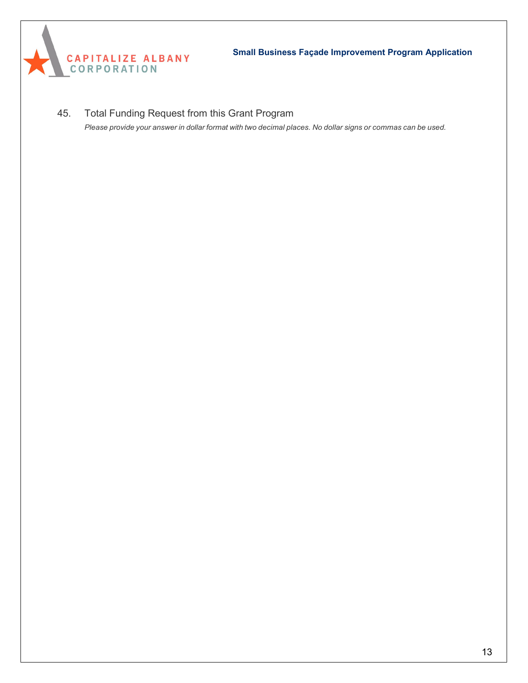

45. Total Funding Request from this Grant Program

Please provide your answer in dollar format with two decimal places. No dollar signs or commas can be used.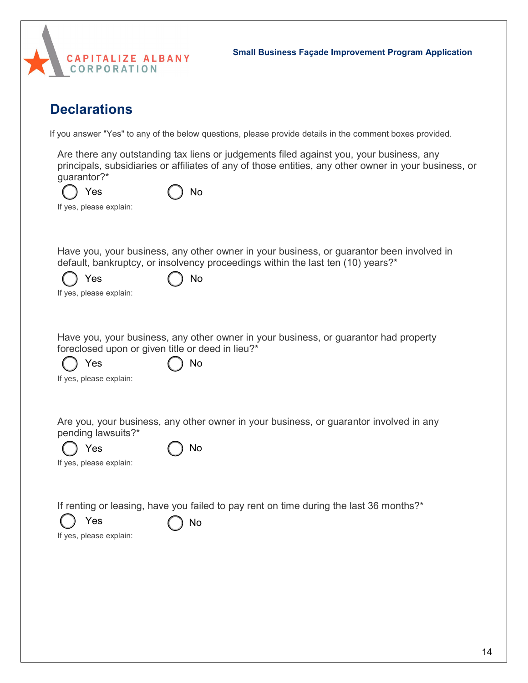

## **Declarations**

If you answer "Yes" to any of the below questions, please provide details in the comment boxes provided.

Are there any outstanding tax liens or judgements filed against you, your business, any principals, subsidiaries or affiliates of any of those entities, any other owner in your business, or guarantor?\*

| Yes                     | $()$ No |
|-------------------------|---------|
| If yes, please explain: |         |

Have you, your business, any other owner in your business, or guarantor been involved in default, bankruptcy, or insolvency proceedings within the last ten (10) years?\*

| $\bigcirc$ Yes | ( ) No |  |
|----------------|--------|--|
|                |        |  |

If yes, please explain:

Have you, your business, any other owner in your business, or guarantor had property foreclosed upon or given title or deed in lieu?\*

Yes ( ) No

|  |  | If yes, please explain: |  |  |
|--|--|-------------------------|--|--|
|--|--|-------------------------|--|--|

Are you, your business, any other owner in your business, or guarantor involved in any pending lawsuits?\*

| Yes                     | $\bigcap$ No |
|-------------------------|--------------|
| If yes, please explain: |              |

If renting or leasing, have you failed to pay rent on time during the last 36 months?\*



Yes  $\bigcap$  No

If yes, please explain: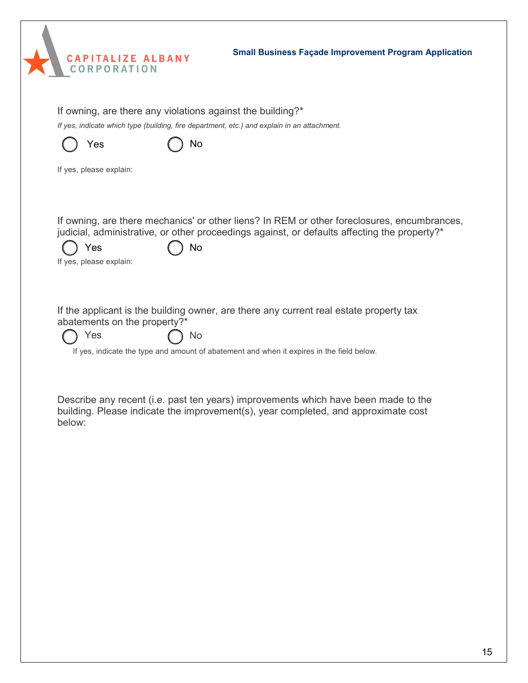|        | <b>Small Business Façade Improvement Program Application</b><br>CAPITALIZE ALBANY<br>CORPORATION                                                                                                                                    |    |
|--------|-------------------------------------------------------------------------------------------------------------------------------------------------------------------------------------------------------------------------------------|----|
|        | If owning, are there any violations against the building?*<br>If yes, indicate which type (building, fire department, etc.) and explain in an attachment.<br>Yes<br>No<br>If yes, please explain:                                   |    |
|        | If owning, are there mechanics' or other liens? In REM or other foreclosures, encumbrances,<br>judicial, administrative, or other proceedings against, or defaults affecting the property?*<br>Yes<br>No<br>If yes, please explain: |    |
|        | If the applicant is the building owner, are there any current real estate property tax<br>abatements on the property?*<br>Yes<br>No<br>If yes, indicate the type and amount of abatement and when it expires in the field below.    |    |
| below: | Describe any recent (i.e. past ten years) improvements which have been made to the<br>building. Please indicate the improvement(s), year completed, and approximate cost                                                            |    |
|        |                                                                                                                                                                                                                                     |    |
|        |                                                                                                                                                                                                                                     | 15 |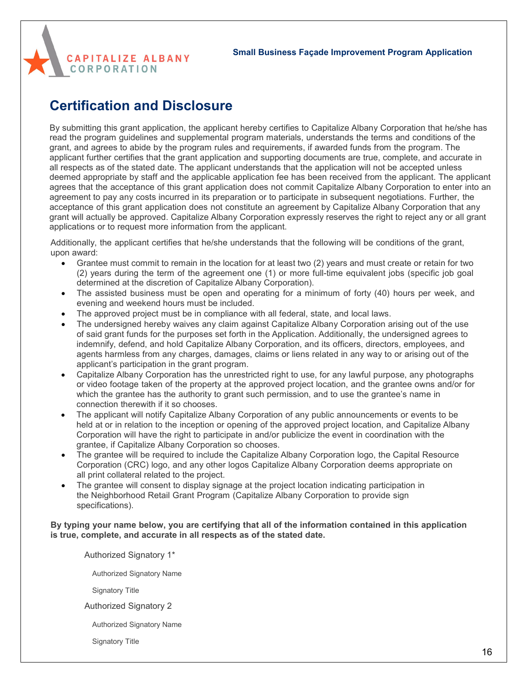

## **Certification and Disclosure**

By submitting this grant application, the applicant hereby certifies to Capitalize Albany Corporation that he/she has read the program guidelines and supplemental program materials, understands the terms and conditions of the grant, and agrees to abide by the program rules and requirements, if awarded funds from the program. The applicant further certifies that the grant application and supporting documents are true, complete, and accurate in all respects as of the stated date. The applicant understands that the application will not be accepted unless deemed appropriate by staff and the applicable application fee has been received from the applicant. The applicant agrees that the acceptance of this grant application does not commit Capitalize Albany Corporation to enter into an agreement to pay any costs incurred in its preparation or to participate in subsequent negotiations. Further, the acceptance of this grant application does not constitute an agreement by Capitalize Albany Corporation that any grant will actually be approved. Capitalize Albany Corporation expressly reserves the right to reject any or all grant applications or to request more information from the applicant.

Additionally, the applicant certifies that he/she understands that the following will be conditions of the grant, upon award:

- Grantee must commit to remain in the location for at least two (2) years and must create or retain for two (2) years during the term of the agreement one (1) or more full-time equivalent jobs (specific job goal determined at the discretion of Capitalize Albany Corporation).
- The assisted business must be open and operating for a minimum of forty (40) hours per week, and evening and weekend hours must be included.
- The approved project must be in compliance with all federal, state, and local laws.
- The undersigned hereby waives any claim against Capitalize Albany Corporation arising out of the use of said grant funds for the purposes set forth in the Application. Additionally, the undersigned agrees to indemnify, defend, and hold Capitalize Albany Corporation, and its officers, directors, employees, and agents harmless from any charges, damages, claims or liens related in any way to or arising out of the applicant's participation in the grant program.
- Capitalize Albany Corporation has the unrestricted right to use, for any lawful purpose, any photographs or video footage taken of the property at the approved project location, and the grantee owns and/or for which the grantee has the authority to grant such permission, and to use the grantee's name in connection therewith if it so chooses.
- The applicant will notify Capitalize Albany Corporation of any public announcements or events to be held at or in relation to the inception or opening of the approved project location, and Capitalize Albany Corporation will have the right to participate in and/or publicize the event in coordination with the grantee, if Capitalize Albany Corporation so chooses.
- The grantee will be required to include the Capitalize Albany Corporation logo, the Capital Resource Corporation (CRC) logo, and any other logos Capitalize Albany Corporation deems appropriate on all print collateral related to the project.
- The grantee will consent to display signage at the project location indicating participation in the Neighborhood Retail Grant Program (Capitalize Albany Corporation to provide sign specifications).

### **By typing your name below, you are certifying that all of the information contained in this application is true, complete, and accurate in all respects as of the stated date.**

Authorized Signatory 1\*

Authorized Signatory Name

Signatory Title

Authorized Signatory 2

Authorized Signatory Name

Signatory Title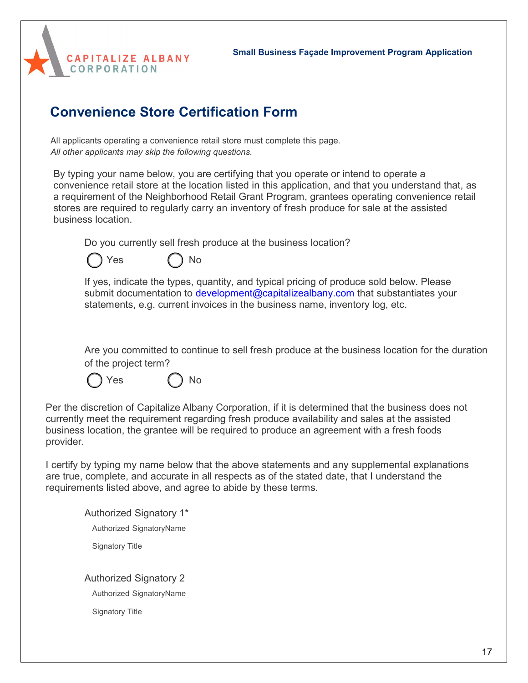

# **Convenience Store Certification Form**

All applicants operating a convenience retail store must complete this page. *All other applicants may skip the following questions.*

By typing your name below, you are certifying that you operate or intend to operate a convenience retail store at the location listed in this application, and that you understand that, as a requirement of the Neighborhood Retail Grant Program, grantees operating convenience retail stores are required to regularly carry an inventory of fresh produce for sale at the assisted business location.

Do you currently sell fresh produce at the business location?



If yes, indicate the types, quantity, and typical pricing of produce sold below. Please submit documentation to [development@capitalizealbany.com](mailto:development@capitalizealbany.com) that substantiates your statements, e.g. current invoices in the business name, inventory log, etc.

Are you committed to continue to sell fresh produce at the business location for the duration of the project term?

Yes ( ) No

Per the discretion of Capitalize Albany Corporation, if it is determined that the business does not currently meet the requirement regarding fresh produce availability and sales at the assisted business location, the grantee will be required to produce an agreement with a fresh foods provider.

I certify by typing my name below that the above statements and any supplemental explanations are true, complete, and accurate in all respects as of the stated date, that I understand the requirements listed above, and agree to abide by these terms.

Authorized Signatory 1\* Authorized SignatoryName Signatory Title Authorized Signatory 2

Authorized SignatoryName

Signatory Title